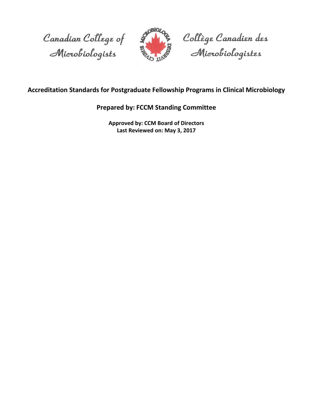



Collège Canadien des<br>Microbiologistes

# **Accreditation Standards for Postgraduate Fellowship Programs in Clinical Microbiology**

# **Prepared by: FCCM Standing Committee**

**Approved by: CCM Board of Directors Last Reviewed on: May 3, 2017**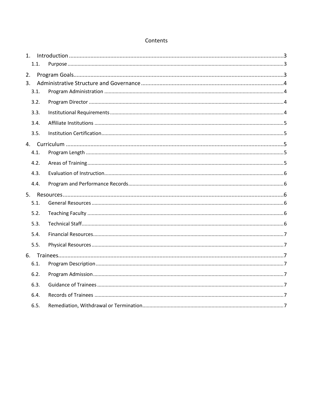# Contents

| 1.             |      |  |
|----------------|------|--|
|                | 1.1. |  |
| 2.             |      |  |
| 3 <sub>1</sub> |      |  |
|                | 3.1. |  |
|                | 3.2. |  |
|                | 3.3. |  |
|                | 3.4. |  |
|                | 3.5. |  |
|                |      |  |
|                | 4.1. |  |
|                | 4.2. |  |
|                | 4.3. |  |
|                | 4.4. |  |
|                |      |  |
|                | 5.1. |  |
|                | 5.2. |  |
|                | 5.3. |  |
|                | 5.4. |  |
|                | 5.5. |  |
|                |      |  |
|                | 6.1. |  |
|                | 6.2. |  |
|                | 6.3. |  |
|                | 6.4. |  |
|                | 6.5. |  |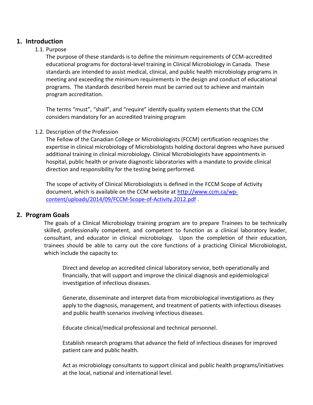# <span id="page-2-0"></span>**1. Introduction**

# <span id="page-2-1"></span>1.1. Purpose

The purpose of these standards is to define the minimum requirements of CCM-accredited educational programs for doctoral-level training in Clinical Microbiology in Canada. These standards are intended to assist medical, clinical, and public health microbiology programs in meeting and exceeding the minimum requirements in the design and conduct of educational programs. The standards described herein must be carried out to achieve and maintain program accreditation.

The terms "must", "shall", and "require" identify quality system elements that the CCM considers mandatory for an accredited training program

# 1.2. Description of the Profession

The Fellow of the Canadian College or Microbiologists (FCCM) certification recognizes the expertise in clinical microbiology of Microbiologists holding doctoral degrees who have pursued additional training in clinical microbiology. Clinical Microbiologists have appointments in hospital, public health or private diagnostic laboratories with a mandate to provide clinical direction and responsibility for the testing being performed.

The scope of activity of Clinical Microbiologists is defined in the FCCM Scope of Activity document, which is available on the CCM website at [http://www.ccm.ca/wp](http://www.ccm.ca/wp-content/uploads/2014/09/FCCM-Scope-of-Activity.2012.pdf)[content/uploads/2014/09/FCCM-Scope-of-Activity.2012.pdf](http://www.ccm.ca/wp-content/uploads/2014/09/FCCM-Scope-of-Activity.2012.pdf) .

# <span id="page-2-2"></span>**2. Program Goals**

The goals of a Clinical Microbiology training program are to prepare Trainees to be technically skilled, professionally competent, and competent to function as a clinical laboratory leader, consultant, and educator in clinical microbiology. Upon the completion of their education, trainees should be able to carry out the core functions of a practicing Clinical Microbiologist, which include the capacity to:

Direct and develop an accredited clinical laboratory service, both operationally and financially, that will support and improve the clinical diagnosis and epidemiological investigation of infectious diseases.

Generate, disseminate and interpret data from microbiological investigations as they apply to the diagnosis, management, and treatment of patients with infectious diseases and public health scenarios involving infectious diseases.

Educate clinical/medical professional and technical personnel.

Establish research programs that advance the field of infectious diseases for improved patient care and public health.

Act as microbiology consultants to support clinical and public health programs/initiatives at the local, national and international level.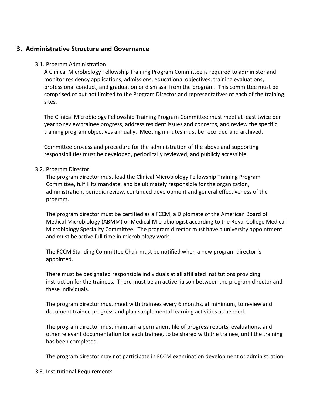# <span id="page-3-0"></span>**3. Administrative Structure and Governance**

#### <span id="page-3-1"></span>3.1. Program Administration

A Clinical Microbiology Fellowship Training Program Committee is required to administer and monitor residency applications, admissions, educational objectives, training evaluations, professional conduct, and graduation or dismissal from the program. This committee must be comprised of but not limited to the Program Director and representatives of each of the training sites.

The Clinical Microbiology Fellowship Training Program Committee must meet at least twice per year to review trainee progress, address resident issues and concerns, and review the specific training program objectives annually. Meeting minutes must be recorded and archived.

Committee process and procedure for the administration of the above and supporting responsibilities must be developed, periodically reviewed, and publicly accessible.

#### <span id="page-3-2"></span>3.2. Program Director

The program director must lead the Clinical Microbiology Fellowship Training Program Committee, fulfill its mandate, and be ultimately responsible for the organization, administration, periodic review, continued development and general effectiveness of the program.

The program director must be certified as a FCCM, a Diplomate of the American Board of Medical Microbiology (ABMM) or Medical Microbiologist according to the Royal College Medical Microbiology Speciality Committee. The program director must have a university appointment and must be active full time in microbiology work.

The FCCM Standing Committee Chair must be notified when a new program director is appointed.

There must be designated responsible individuals at all affiliated institutions providing instruction for the trainees. There must be an active liaison between the program director and these individuals.

The program director must meet with trainees every 6 months, at minimum, to review and document trainee progress and plan supplemental learning activities as needed.

The program director must maintain a permanent file of progress reports, evaluations, and other relevant documentation for each trainee, to be shared with the trainee, until the training has been completed.

The program director may not participate in FCCM examination development or administration.

#### <span id="page-3-3"></span>3.3. Institutional Requirements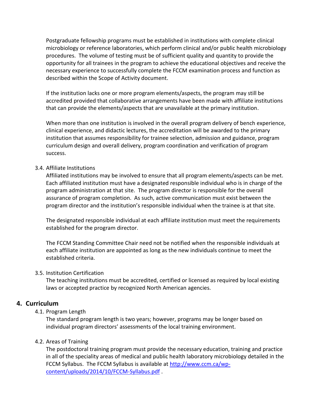Postgraduate fellowship programs must be established in institutions with complete clinical microbiology or reference laboratories, which perform clinical and/or public health microbiology procedures. The volume of testing must be of sufficient quality and quantity to provide the opportunity for all trainees in the program to achieve the educational objectives and receive the necessary experience to successfully complete the FCCM examination process and function as described within the Scope of Activity document.

If the institution lacks one or more program elements/aspects, the program may still be accredited provided that collaborative arrangements have been made with affiliate institutions that can provide the elements/aspects that are unavailable at the primary institution.

When more than one institution is involved in the overall program delivery of bench experience, clinical experience, and didactic lectures, the accreditation will be awarded to the primary institution that assumes responsibility for trainee selection, admission and guidance, program curriculum design and overall delivery, program coordination and verification of program success.

# <span id="page-4-0"></span>3.4. Affiliate Institutions

Affiliated institutions may be involved to ensure that all program elements/aspects can be met. Each affiliated institution must have a designated responsible individual who is in charge of the program administration at that site. The program director is responsible for the overall assurance of program completion. As such, active communication must exist between the program director and the institution's responsible individual when the trainee is at that site.

The designated responsible individual at each affiliate institution must meet the requirements established for the program director.

The FCCM Standing Committee Chair need not be notified when the responsible individuals at each affiliate institution are appointed as long as the new individuals continue to meet the established criteria.

# <span id="page-4-1"></span>3.5. Institution Certification

The teaching institutions must be accredited, certified or licensed as required by local existing laws or accepted practice by recognized North American agencies.

# <span id="page-4-2"></span>**4. Curriculum**

# <span id="page-4-3"></span>4.1. Program Length

The standard program length is two years; however, programs may be longer based on individual program directors' assessments of the local training environment.

# <span id="page-4-4"></span>4.2. Areas of Training

The postdoctoral training program must provide the necessary education, training and practice in all of the speciality areas of medical and public health laboratory microbiology detailed in the FCCM Syllabus. The FCCM Syllabus is available at [http://www.ccm.ca/wp](http://www.ccm.ca/wp-content/uploads/2014/10/FCCM-Syllabus.pdf)[content/uploads/2014/10/FCCM-Syllabus.pdf](http://www.ccm.ca/wp-content/uploads/2014/10/FCCM-Syllabus.pdf) .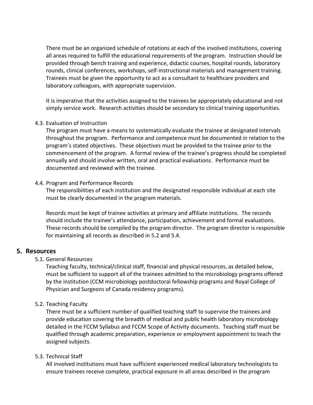There must be an organized schedule of rotations at each of the involved institutions, covering all areas required to fulfill the educational requirements of the program. Instruction should be provided through bench training and experience, didactic courses, hospital rounds, laboratory rounds, clinical conferences, workshops, self-instructional materials and management training. Trainees must be given the opportunity to act as a consultant to healthcare providers and laboratory colleagues, with appropriate supervision.

It is imperative that the activities assigned to the trainees be appropriately educational and not simply service work. Research activities should be secondary to clinical training opportunities.

#### <span id="page-5-0"></span>4.3. Evaluation of Instruction

The program must have a means to systematically evaluate the trainee at designated intervals throughout the program. Performance and competence must be documented in relation to the program's stated objectives. These objectives must be provided to the trainee prior to the commencement of the program. A formal review of the trainee's progress should be completed annually and should involve written, oral and practical evaluations. Performance must be documented and reviewed with the trainee.

#### <span id="page-5-1"></span>4.4. Program and Performance Records

The responsibilities of each institution and the designated responsible individual at each site must be clearly documented in the program materials.

Records must be kept of trainee activities at primary and affiliate institutions. The records should include the trainee's attendance, participation, achievement and formal evaluations. These records should be compiled by the program director. The program director is responsible for maintaining all records as described in 5.2 and 5.4.

# <span id="page-5-2"></span>**5. Resources**

<span id="page-5-3"></span>5.1. General Resources

Teaching faculty, technical/clinical staff, financial and physical resources, as detailed below, must be sufficient to support all of the trainees admitted to the microbiology programs offered by the institution (CCM microbiology postdoctoral fellowship programs and Royal College of Physician and Surgeons of Canada residency programs).

# <span id="page-5-4"></span>5.2. Teaching Faculty

There must be a sufficient number of qualified teaching staff to supervise the trainees and provide education covering the breadth of medical and public health laboratory microbiology detailed in the FCCM Syllabus and FCCM Scope of Activity documents. Teaching staff must be qualified through academic preparation, experience or employment appointment to teach the assigned subjects.

# <span id="page-5-5"></span>5.3. Technical Staff

All involved institutions must have sufficient experienced medical laboratory technologists to ensure trainees receive complete, practical exposure in all areas described in the program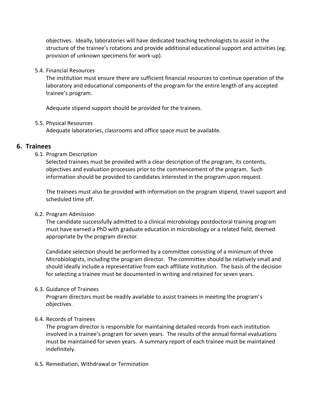objectives. Ideally, laboratories will have dedicated teaching technologists to assist in the structure of the trainee's rotations and provide additional educational support and activities (eg. provision of unknown specimens for work-up).

#### <span id="page-6-0"></span>5.4. Financial Resources

The institution must ensure there are sufficient financial resources to continue operation of the laboratory and educational components of the program for the entire length of any accepted trainee's program.

Adequate stipend support should be provided for the trainees.

#### <span id="page-6-1"></span>5.5. Physical Resources

Adequate laboratories, classrooms and office space must be available.

# <span id="page-6-2"></span>**6. Trainees**

# <span id="page-6-3"></span>6.1. Program Description

Selected trainees must be provided with a clear description of the program, its contents, objectives and evaluation processes prior to the commencement of the program. Such information should be provided to candidates interested in the program upon request.

The trainees must also be provided with information on the program stipend, travel support and scheduled time off.

# <span id="page-6-4"></span>6.2. Program Admission

The candidate successfully admitted to a clinical microbiology postdoctoral training program must have earned a PhD with graduate education in microbiology or a related field, deemed appropriate by the program director.

Candidate selection should be performed by a committee consisting of a minimum of three Microbiologists, including the program director. The committee should be relatively small and should ideally include a representative from each affiliate institution. The basis of the decision for selecting a trainee must be documented in writing and retained for seven years.

# <span id="page-6-5"></span>6.3. Guidance of Trainees

Program directors must be readily available to assist trainees in meeting the program's objectives.

# <span id="page-6-6"></span>6.4. Records of Trainees

The program director is responsible for maintaining detailed records from each institution involved in a trainee's program for seven years. The results of the annual formal evaluations must be maintained for seven years. A summary report of each trainee must be maintained indefinitely.

<span id="page-6-7"></span>6.5. Remediation, Withdrawal or Termination